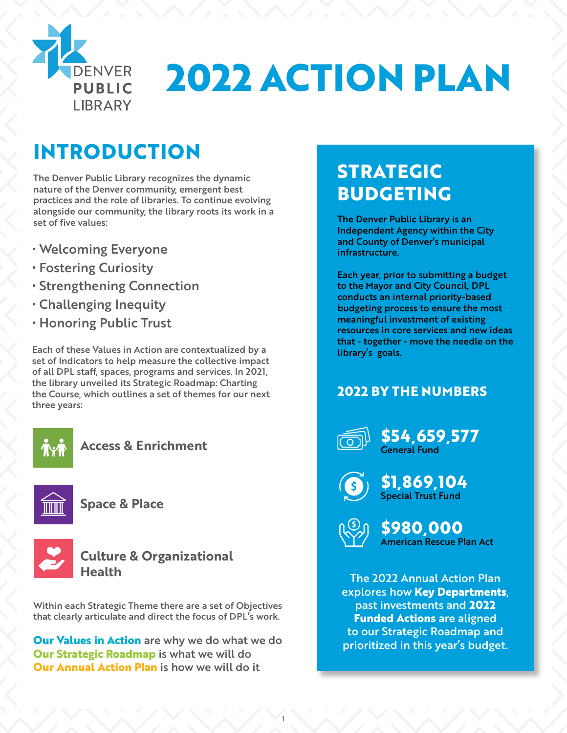

# **2022 ACTION PLAN**

# **INTRODUCTION**

The Denver Public Library recognizes the dynamic nature of the Denver community, emergent best practices and the role of libraries. To continue evolving alongside our community, the library roots its work in a set of five values:

- Welcoming Everyone
- Fostering Curiosity
- Strengthening Connection
- Challenging Inequity
- Honoring Public Trust

Each of these Values in Action are contextualized by a set of Indicators to help measure the collective impact of all DPL staff, spaces, programs and services. In 2021, the library unveiled its Strategic Roadmap: Charting the Course, which outlines a set of themes for our next three years:



**Access & Enrichment**



**Space & Place**



### **Culture & Organizational Health**

Within each Strategic Theme there are a set of Objectives that clearly articulate and direct the focus of DPL's work.

**Our Values in Action** are why we do what we do **Our Strategic Roadmap** is what we will do **Our Annual Action Plan** is how we will do it

# **STRATEGIC BUDGETING**

The Denver Public Library is an Independent Agency within the City and County of Denver's municipal infrastructure.

Each year, prior to submitting a budget to the Mayor and City Council, DPL conducts an internal priority-based budgeting process to ensure the most meaningful investment of existing resources in core services and new ideas that - together - move the needle on the library's goals.

# **2022 BY THE NUMBERS**



**\$54,659,577** General Fund



**\$1,869,104** Special Trust Fund



1

**\$980,000** American Rescue Plan Act

The 2022 Annual Action Plan explores how **Key Departments**, past investments and **2022 Funded Actions** are aligned to our Strategic Roadmap and prioritized in this year's budget.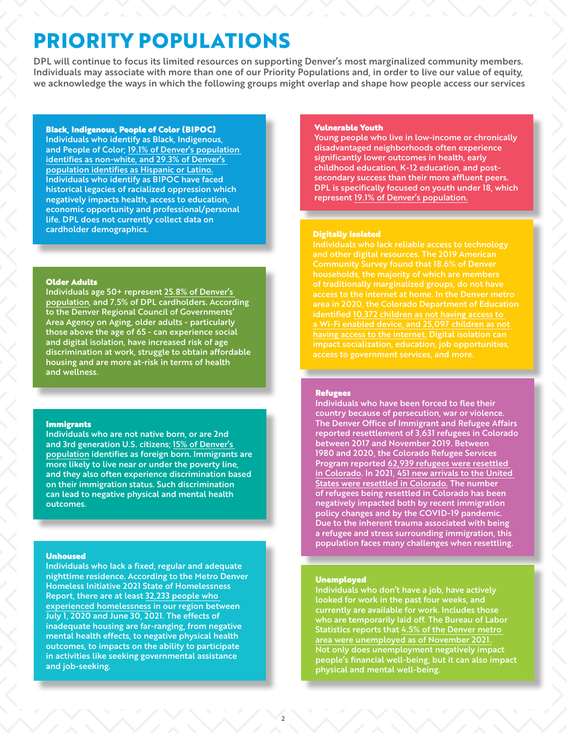# **PRIORITY POPULATIONS**

DPL will continue to focus its limited resources on supporting Denver's most marginalized community members. Individuals may associate with more than one of our Priority Populations and, in order to live our value of equity, we acknowledge the ways in which the following groups might overlap and shape how people access our services

#### Black, Indigenous, People of Color (BIPOC)

Individuals who identify as Black, Indigenous, and People of Color; [19.1% of Denver's population](https://www.census.gov/quickfacts/fact/table/denvercountycolorado/PST045221#PST045221)  [identifies as non-white, and 29.3% of Denver's](https://www.census.gov/quickfacts/fact/table/denvercountycolorado/PST045221#PST045221)  [population identifies as Hispanic or Latino.](https://www.census.gov/quickfacts/fact/table/denvercountycolorado/PST045221#PST045221) Individuals who identify as BIPOC have faced historical legacies of racialized oppression which negatively impacts health, access to education, economic opportunity and professional/personal life. DPL does not currently collect data on cardholder demographics.

#### Older Adults

Individuals age 50+ represent [25.8% of Denver's](https://demography.dola.colorado.gov/)  [population](https://demography.dola.colorado.gov/), and 7.5% of DPL cardholders. According to the Denver Regional Council of Governments' Area Agency on Aging, older adults - particularly those above the age of 65 - can experience social and digital isolation, have increased risk of age discrimination at work, struggle to obtain affordable housing and are more at-risk in terms of health and wellness.

#### Immigrants

Individuals who are not native born, or are 2nd and 3rd generation U.S. citizens; [15% of Denver's](https://www.census.gov/quickfacts/fact/table/denvercountycolorado/PST045221#PST045221)  [population](https://www.census.gov/quickfacts/fact/table/denvercountycolorado/PST045221#PST045221) identifies as foreign born. Immigrants are more likely to live near or under the poverty line, and they also often experience discrimination based on their immigration status. Such discrimination can lead to negative physical and mental health outcomes.

#### Unhoused

Individuals who lack a fixed, regular and adequate nighttime residence. According to the Metro Denver Homeless Initiative 2021 State of Homelessness Report, there are at least [32,233 people who](https://www.mdhi.org/)  [experienced homelessness](https://www.mdhi.org/) in our region between July 1, 2020 and June 30, 2021. The effects of inadequate housing are far-ranging, from negative mental health effects, to negative physical health outcomes, to impacts on the ability to participate in activities like seeking governmental assistance and job-seeking.

#### Vulnerable Youth

Young people who live in low-income or chronically disadvantaged neighborhoods often experience significantly lower outcomes in health, early childhood education, K-12 education, and postsecondary success than their more affluent peers. DPL is specifically focused on youth under 18, which represent [19.1% of Denver's population.](https://www.census.gov/quickfacts/fact/table/denvercountycolorado/PST045221#PST045221)

#### Digitally Isolated

Individuals who lack reliable access to technology and other digital resources. The 2019 American of traditionally marginalized groups, do not have area in 2020, the Colorado Department of Education [having access to the internet.](https://www.cde.state.co.us/communications/needsinventory-results) Digital isolation can impact socialization, education, job opportunities, access to government services, and more.

#### Refugees

Individuals who have been forced to flee their country because of persecution, war or violence. The Denver Office of Immigrant and Refugee Affairs reported resettlement of 3,631 refugees in Colorado between 2017 and November 2019. Between 1980 and 2020, the Colorado Refugee Services Program reported [62,939 refugees were resettled](https://drive.google.com/file/d/1hujMx8xS9dqDFIt-SuDKYxl0lZBM6dkz/view)  [in Colorado](https://drive.google.com/file/d/1hujMx8xS9dqDFIt-SuDKYxl0lZBM6dkz/view). In 2021, [451 new arrivals to the United](https://cdhs.colorado.gov/crsp)  [States were resettled in Colorado.](https://cdhs.colorado.gov/crsp) The number of refugees being resettled in Colorado has been negatively impacted both by recent immigration policy changes and by the COVID-19 pandemic. Due to the inherent trauma associated with being a refugee and stress surrounding immigration, this population faces many challenges when resettling.

#### Unemployed

Individuals who don't have a job, have actively looked for work in the past four weeks, and currently are available for work. Includes those who are temporarily laid off. The Bureau of Labor Statistics reports that [4.5% of the Denver metro](https://www.bls.gov/eag/eag.co_denver_msa.htm#eag_co_denver_msa1.f.2)  [area were unemployed as of November 2021.](https://www.bls.gov/eag/eag.co_denver_msa.htm#eag_co_denver_msa1.f.2) Not only does unemployment negatively impact people's financial well-being, but it can also impact physical and mental well-being.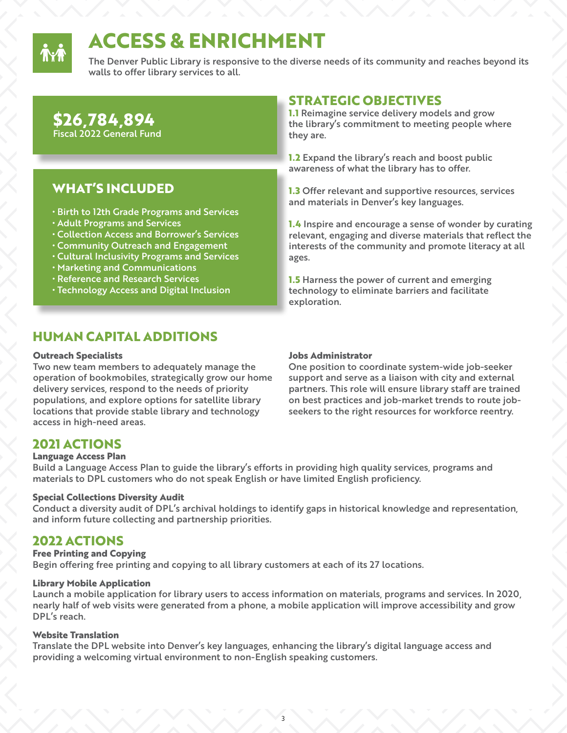

# **ACCESS & ENRICHMENT**

The Denver Public Library is responsive to the diverse needs of its community and reaches beyond its walls to offer library services to all.

### **\$26,784,894**  Fiscal 2022 General Fund

# **WHAT'S INCLUDED**

- Birth to 12th Grade Programs and Services
- Adult Programs and Services
- Collection Access and Borrower's Services
- Community Outreach and Engagement
- Cultural Inclusivity Programs and Services
- Marketing and Communications
- Reference and Research Services
- Technology Access and Digital Inclusion

# **HUMAN CAPITAL ADDITIONS**

#### **Outreach Specialists**

Two new team members to adequately manage the operation of bookmobiles, strategically grow our home delivery services, respond to the needs of priority populations, and explore options for satellite library locations that provide stable library and technology access in high-need areas.

# **STRATEGIC OBJECTIVES**

**1.1** Reimagine service delivery models and grow the library's commitment to meeting people where they are.

**1.2** Expand the library's reach and boost public awareness of what the library has to offer.

**1.3** Offer relevant and supportive resources, services and materials in Denver's key languages.

**1.4** Inspire and encourage a sense of wonder by curating relevant, engaging and diverse materials that reflect the interests of the community and promote literacy at all ages.

**1.5** Harness the power of current and emerging technology to eliminate barriers and facilitate exploration.

#### **Jobs Administrator**

One position to coordinate system-wide job-seeker support and serve as a liaison with city and external partners. This role will ensure library staff are trained on best practices and job-market trends to route jobseekers to the right resources for workforce reentry.

### **2021 ACTIONS**

#### **Language Access Plan**

Build a Language Access Plan to guide the library's efforts in providing high quality services, programs and materials to DPL customers who do not speak English or have limited English proficiency.

#### **Special Collections Diversity Audit**

Conduct a diversity audit of DPL's archival holdings to identify gaps in historical knowledge and representation, and inform future collecting and partnership priorities.

### **2022 ACTIONS**

#### **Free Printing and Copying**

Begin offering free printing and copying to all library customers at each of its 27 locations.

#### **Library Mobile Application**

Launch a mobile application for library users to access information on materials, programs and services. In 2020, nearly half of web visits were generated from a phone, a mobile application will improve accessibility and grow DPL's reach.

#### **Website Translation**

Translate the DPL website into Denver's key languages, enhancing the library's digital language access and providing a welcoming virtual environment to non-English speaking customers.

3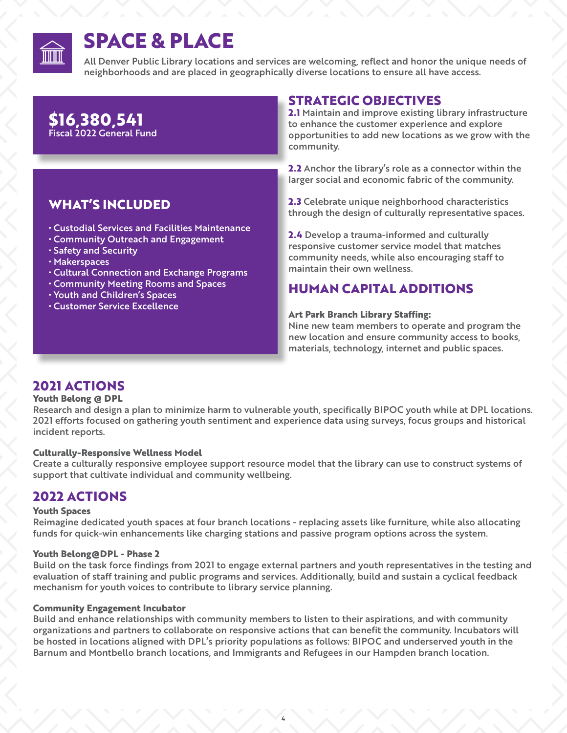

# **SPACE & PLACE**

All Denver Public Library locations and services are welcoming, reflect and honor the unique needs of neighborhoods and are placed in geographically diverse locations to ensure all have access.

# **\$16,380,541** Fiscal 2022 General Fund

# **WHAT'S INCLUDED**

- Custodial Services and Facilities Maintenance
- Community Outreach and Engagement
- Safety and Security
- Makerspaces
- Cultural Connection and Exchange Programs
- Community Meeting Rooms and Spaces
- Youth and Children's Spaces
- Customer Service Excellence

# **STRATEGIC OBJECTIVES**

**2.1** Maintain and improve existing library infrastructure to enhance the customer experience and explore opportunities to add new locations as we grow with the community.

**2.2** Anchor the library's role as a connector within the larger social and economic fabric of the community.

**2.3** Celebrate unique neighborhood characteristics through the design of culturally representative spaces.

**2.4** Develop a trauma-informed and culturally responsive customer service model that matches community needs, while also encouraging staff to maintain their own wellness.

# **HUMAN CAPITAL ADDITIONS**

#### **Art Park Branch Library Staffing:**

Nine new team members to operate and program the new location and ensure community access to books, materials, technology, internet and public spaces.

# **2021 ACTIONS**

#### **Youth Belong @ DPL**

Research and design a plan to minimize harm to vulnerable youth, specifically BIPOC youth while at DPL locations. 2021 efforts focused on gathering youth sentiment and experience data using surveys, focus groups and historical incident reports.

#### **Culturally-Responsive Wellness Model**

Create a culturally responsive employee support resource model that the library can use to construct systems of support that cultivate individual and community wellbeing.

### **2022 ACTIONS**

#### **Youth Spaces**

Reimagine dedicated youth spaces at four branch locations - replacing assets like furniture, while also allocating funds for quick-win enhancements like charging stations and passive program options across the system.

#### **Youth Belong@DPL - Phase 2**

Build on the task force findings from 2021 to engage external partners and youth representatives in the testing and evaluation of staff training and public programs and services. Additionally, build and sustain a cyclical feedback mechanism for youth voices to contribute to library service planning.

#### **Community Engagement Incubator**

Build and enhance relationships with community members to listen to their aspirations, and with community organizations and partners to collaborate on responsive actions that can benefit the community. Incubators will be hosted in locations aligned with DPL's priority populations as follows: BIPOC and underserved youth in the Barnum and Montbello branch locations, and Immigrants and Refugees in our Hampden branch location.

4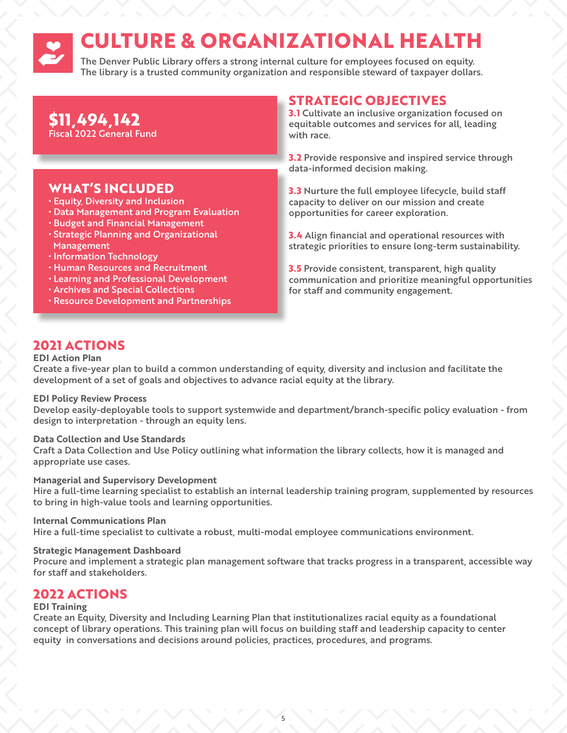# **CULTURE & ORGANIZATIONAL HEALTH**

The Denver Public Library offers a strong internal culture for employees focused on equity. The library is a trusted community organization and responsible steward of taxpayer dollars.

### **\$11,494,142**  Fiscal 2022 General Fund

# **WHAT'S INCLUDED**

- Equity, Diversity and Inclusion
- Data Management and Program Evaluation
- Budget and Financial Management
- Strategic Planning and Organizational Management
- Information Technology
- Human Resources and Recruitment
- Learning and Professional Development
- Archives and Special Collections
- Resource Development and Partnerships

# **STRATEGIC OBJECTIVES**

**3.1** Cultivate an inclusive organization focused on equitable outcomes and services for all, leading with race.

**3.2** Provide responsive and inspired service through data-informed decision making.

**3.3** Nurture the full employee lifecycle, build staff capacity to deliver on our mission and create opportunities for career exploration.

**3.4** Align financial and operational resources with strategic priorities to ensure long-term sustainability.

**3.5** Provide consistent, transparent, high quality communication and prioritize meaningful opportunities for staff and community engagement.

# **2021 ACTIONS**

#### **EDI Action Plan**

Create a five-year plan to build a common understanding of equity, diversity and inclusion and facilitate the development of a set of goals and objectives to advance racial equity at the library.

#### **EDI Policy Review Process**

Develop easily-deployable tools to support systemwide and department/branch-specific policy evaluation - from design to interpretation - through an equity lens.

#### **Data Collection and Use Standards**

Craft a Data Collection and Use Policy outlining what information the library collects, how it is managed and appropriate use cases.

#### **Managerial and Supervisory Development**

Hire a full-time learning specialist to establish an internal leadership training program, supplemented by resources to bring in high-value tools and learning opportunities.

#### **Internal Communications Plan**

Hire a full-time specialist to cultivate a robust, multi-modal employee communications environment.

#### **Strategic Management Dashboard**

Procure and implement a strategic plan management software that tracks progress in a transparent, accessible way for staff and stakeholders.

### **2022 ACTIONS**

#### **EDI Training**

Create an Equity, Diversity and Including Learning Plan that institutionalizes racial equity as a foundational concept of library operations. This training plan will focus on building staff and leadership capacity to center equity in conversations and decisions around policies, practices, procedures, and programs.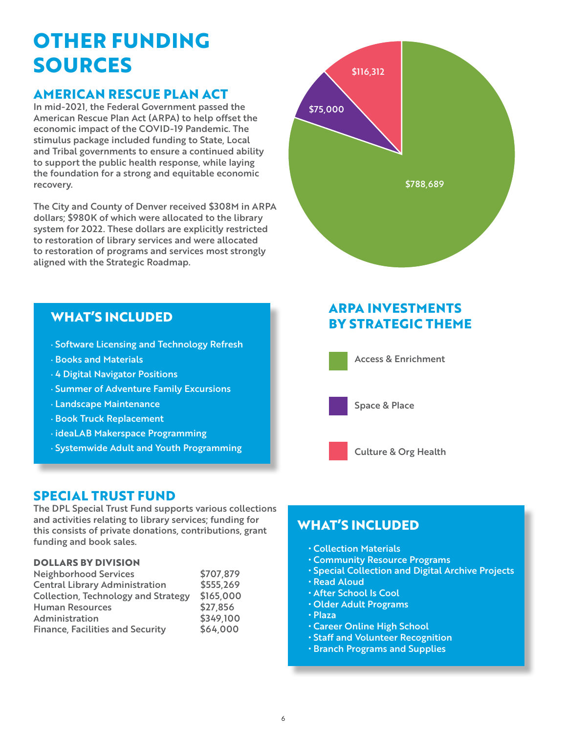# **OTHER FUNDING SOURCES**

# **AMERICAN RESCUE PLAN ACT**

In mid-2021, the Federal Government passed the American Rescue Plan Act (ARPA) to help offset the economic impact of the COVID-19 Pandemic. The stimulus package included funding to State, Local and Tribal governments to ensure a continued ability to support the public health response, while laying the foundation for a strong and equitable economic recovery.

The City and County of Denver received \$308M in ARPA dollars; \$980K of which were allocated to the library system for 2022. These dollars are explicitly restricted to restoration of library services and were allocated to restoration of programs and services most strongly aligned with the Strategic Roadmap.

· Software Licensing and Technology Refresh

· Summer of Adventure Family Excursions

· Systemwide Adult and Youth Programming

· ideaLAB Makerspace Programming



# **ARPA INVESTMENTS BY STRATEGIC THEME**



Access & Enrichment



Space & Place



### **SPECIAL TRUST FUND**

**WHAT'S INCLUDED**

· 4 Digital Navigator Positions

· Landscape Maintenance · Book Truck Replacement

· Books and Materials

The DPL Special Trust Fund supports various collections and activities relating to library services; funding for this consists of private donations, contributions, grant funding and book sales.

#### **DOLLARS BY DIVISION**

| <b>Neighborhood Services</b>               | \$707,879 |
|--------------------------------------------|-----------|
| <b>Central Library Administration</b>      | \$555,269 |
| <b>Collection, Technology and Strategy</b> | \$165,000 |
| <b>Human Resources</b>                     | \$27,856  |
| Administration                             | \$349,100 |
| <b>Finance, Facilities and Security</b>    | \$64,000  |

# **WHAT'S INCLUDED**

- Collection Materials
- Community Resource Programs
- Special Collection and Digital Archive Projects
- Read Aloud
- After School Is Cool
- Older Adult Programs
- Plaza
- Career Online High School
- Staff and Volunteer Recognition
- Branch Programs and Supplies